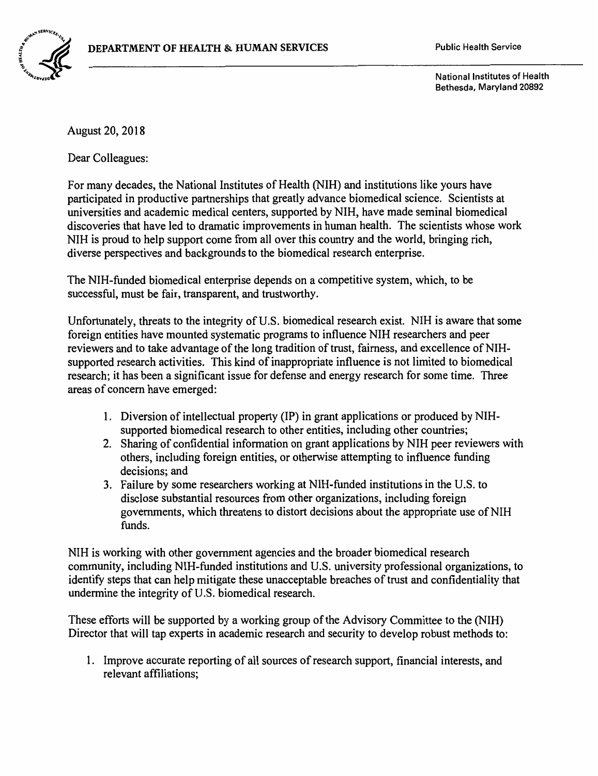

National Institutes of Health Bethesda, Maryland 20892

August 20, 2018

Dear Colleagues:

For many decades, the National Institutes of Health (NIH) and institutions like yours have participated in productive partnerships that greatly advance biomedical science. Scientists at universities and academic medical centers, supported by NIH, have made seminal biomedical discoveries that have led to dramatic improvements in human health. The scientists whose work NIH is proud to help support come from all over this country and the world, bringing rich, diverse perspectives and backgrounds to the biomedical research enterprise.

The NIH-funded biomedical enterprise depends on a competitive system, which, to be successful, must be fair, transparent, and trustworthy.

Unfortunately, threats to the integrity of U.S. biomedical research exist. NIH is aware that some foreign entities have mounted systematic programs to influence NIH researchers and peer reviewers and to take advantage of the long tradition of trust, fairness, and excellence of NIHsupported research activities. This kind of inappropriate influence is not limited to biomedical research; it has been a significant issue for defense and energy research for some time. Three areas of concern have emerged:

- I. Diversion of intellectual property (IP) in grant applications or produced by NIHsupported biomedical research to other entities, including other countries;
- 2. Sharing of confidential information on grant applications by NIH peer reviewers with others, including foreign entities, or otherwise attempting to influence funding decisions; and
- 3. Failure by some researchers working at NIH-funded institutions in the U.S. to disclose substantial resources from other organizations, including foreign governments, which threatens to distort decisions about the appropriate use of NIH funds.

NIH is working with other government agencies and the broader biomedical research community, including NIH-funded institutions and U.S. university professional organizations, to identify steps that can help mitigate these unacceptable breaches of trust and confidentiality that undermine the integrity of U.S. biomedical research.

These efforts will be supported by a working group of the Advisory Committee to the (NIH) Director that will tap experts in academic research and security to develop robust methods to:

I. Improve accurate reporting of all sources of research support, financial interests, and relevant affiliations;